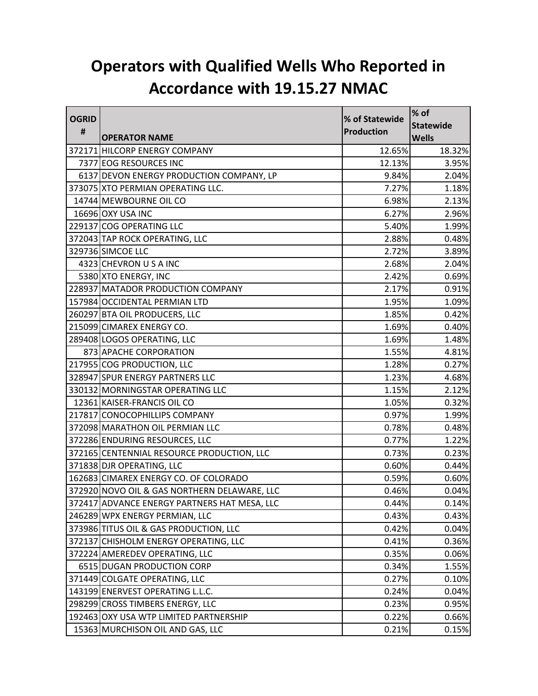## **Operators with Qualified Wells Who Reported in Accordance with 19.15.27 NMAC**

| <b>OGRID</b> |                                              | % of Statewide | $%$ of           |
|--------------|----------------------------------------------|----------------|------------------|
| #            |                                              | Production     | <b>Statewide</b> |
|              | <b>OPERATOR NAME</b>                         |                | <b>Wells</b>     |
|              | 372171 HILCORP ENERGY COMPANY                | 12.65%         | 18.32%           |
|              | 7377 EOG RESOURCES INC                       | 12.13%         | 3.95%            |
|              | 6137 DEVON ENERGY PRODUCTION COMPANY, LP     | 9.84%          | 2.04%            |
|              | 373075 XTO PERMIAN OPERATING LLC.            | 7.27%          | 1.18%            |
|              | 14744 MEWBOURNE OIL CO                       | 6.98%          | 2.13%            |
|              | 16696 OXY USA INC                            | 6.27%          | 2.96%            |
|              | 229137 COG OPERATING LLC                     | 5.40%          | 1.99%            |
|              | 372043 TAP ROCK OPERATING, LLC               | 2.88%          | 0.48%            |
|              | 329736 SIMCOE LLC                            | 2.72%          | 3.89%            |
|              | 4323 CHEVRON U S A INC                       | 2.68%          | 2.04%            |
|              | 5380 XTO ENERGY, INC                         | 2.42%          | 0.69%            |
|              | 228937 MATADOR PRODUCTION COMPANY            | 2.17%          | 0.91%            |
|              | 157984 OCCIDENTAL PERMIAN LTD                | 1.95%          | 1.09%            |
|              | 260297 BTA OIL PRODUCERS, LLC                | 1.85%          | 0.42%            |
|              | 215099 CIMAREX ENERGY CO.                    | 1.69%          | 0.40%            |
|              | 289408 LOGOS OPERATING, LLC                  | 1.69%          | 1.48%            |
|              | 873 APACHE CORPORATION                       | 1.55%          | 4.81%            |
|              | 217955 COG PRODUCTION, LLC                   | 1.28%          | 0.27%            |
|              | 328947 SPUR ENERGY PARTNERS LLC              | 1.23%          | 4.68%            |
|              | 330132 MORNINGSTAR OPERATING LLC             | 1.15%          | 2.12%            |
|              | 12361 KAISER-FRANCIS OIL CO                  | 1.05%          | 0.32%            |
|              | 217817 CONOCOPHILLIPS COMPANY                | 0.97%          | 1.99%            |
|              | 372098 MARATHON OIL PERMIAN LLC              | 0.78%          | 0.48%            |
|              | 372286 ENDURING RESOURCES, LLC               | 0.77%          | 1.22%            |
|              | 372165 CENTENNIAL RESOURCE PRODUCTION, LLC   | 0.73%          | 0.23%            |
|              | 371838 DJR OPERATING, LLC                    | 0.60%          | 0.44%            |
|              | 162683 CIMAREX ENERGY CO. OF COLORADO        | 0.59%          | 0.60%            |
|              | 372920 NOVO OIL & GAS NORTHERN DELAWARE, LLC | 0.46%          | 0.04%            |
|              | 372417 ADVANCE ENERGY PARTNERS HAT MESA, LLC | 0.44%          | 0.14%            |
|              | 246289 WPX ENERGY PERMIAN, LLC               | 0.43%          | 0.43%            |
|              | 373986 TITUS OIL & GAS PRODUCTION, LLC       | 0.42%          | 0.04%            |
|              | 372137 CHISHOLM ENERGY OPERATING, LLC        | 0.41%          | 0.36%            |
|              | 372224 AMEREDEV OPERATING, LLC               | 0.35%          | 0.06%            |
|              | 6515 DUGAN PRODUCTION CORP                   | 0.34%          | 1.55%            |
|              | 371449 COLGATE OPERATING, LLC                | 0.27%          | 0.10%            |
|              | 143199 ENERVEST OPERATING L.L.C.             | 0.24%          | 0.04%            |
|              | 298299 CROSS TIMBERS ENERGY, LLC             | 0.23%          | 0.95%            |
|              | 192463 OXY USA WTP LIMITED PARTNERSHIP       | 0.22%          | 0.66%            |
|              | 15363 MURCHISON OIL AND GAS, LLC             | 0.21%          | 0.15%            |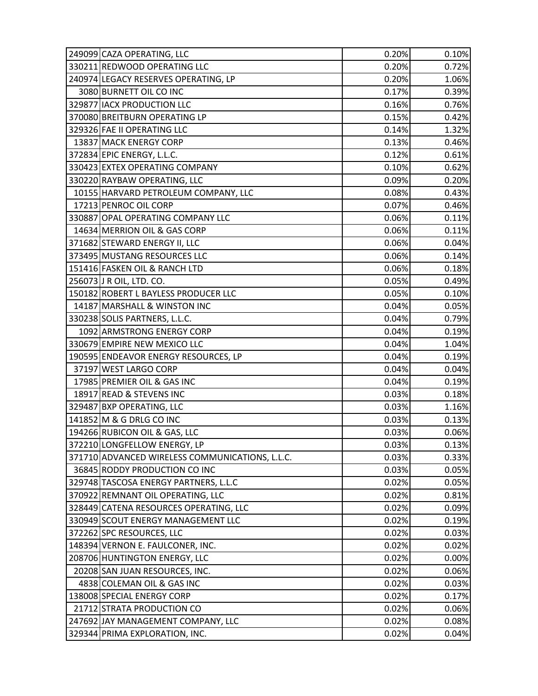| 249099 CAZA OPERATING, LLC                      | 0.20% | 0.10% |
|-------------------------------------------------|-------|-------|
| 330211 REDWOOD OPERATING LLC                    | 0.20% | 0.72% |
| 240974 LEGACY RESERVES OPERATING, LP            | 0.20% | 1.06% |
| 3080 BURNETT OIL CO INC                         | 0.17% | 0.39% |
| 329877 IACX PRODUCTION LLC                      | 0.16% | 0.76% |
| 370080 BREITBURN OPERATING LP                   | 0.15% | 0.42% |
| 329326 FAE II OPERATING LLC                     | 0.14% | 1.32% |
| 13837 MACK ENERGY CORP                          | 0.13% | 0.46% |
| 372834 EPIC ENERGY, L.L.C.                      | 0.12% | 0.61% |
| 330423 EXTEX OPERATING COMPANY                  | 0.10% | 0.62% |
| 330220 RAYBAW OPERATING, LLC                    | 0.09% | 0.20% |
| 10155 HARVARD PETROLEUM COMPANY, LLC            | 0.08% | 0.43% |
| 17213 PENROC OIL CORP                           | 0.07% | 0.46% |
| 330887 OPAL OPERATING COMPANY LLC               | 0.06% | 0.11% |
| 14634 MERRION OIL & GAS CORP                    | 0.06% | 0.11% |
| 371682 STEWARD ENERGY II, LLC                   | 0.06% | 0.04% |
| 373495 MUSTANG RESOURCES LLC                    | 0.06% | 0.14% |
| 151416 FASKEN OIL & RANCH LTD                   | 0.06% | 0.18% |
| 256073 J R OIL, LTD. CO.                        | 0.05% | 0.49% |
| 150182 ROBERT L BAYLESS PRODUCER LLC            | 0.05% | 0.10% |
| 14187 MARSHALL & WINSTON INC                    | 0.04% | 0.05% |
| 330238 SOLIS PARTNERS, L.L.C.                   | 0.04% | 0.79% |
| 1092 ARMSTRONG ENERGY CORP                      | 0.04% | 0.19% |
| 330679 EMPIRE NEW MEXICO LLC                    | 0.04% | 1.04% |
| 190595 ENDEAVOR ENERGY RESOURCES, LP            | 0.04% | 0.19% |
| 37197 WEST LARGO CORP                           | 0.04% | 0.04% |
| 17985 PREMIER OIL & GAS INC                     | 0.04% | 0.19% |
| 18917 READ & STEVENS INC                        | 0.03% | 0.18% |
| 329487 BXP OPERATING, LLC                       | 0.03% | 1.16% |
| 141852 M & G DRLG CO INC                        | 0.03% | 0.13% |
| 194266 RUBICON OIL & GAS, LLC                   | 0.03% | 0.06% |
| 372210 LONGFELLOW ENERGY, LP                    | 0.03% | 0.13% |
| 371710 ADVANCED WIRELESS COMMUNICATIONS, L.L.C. | 0.03% | 0.33% |
| 36845 RODDY PRODUCTION CO INC                   | 0.03% | 0.05% |
| 329748 TASCOSA ENERGY PARTNERS, L.L.C           | 0.02% | 0.05% |
| 370922 REMNANT OIL OPERATING, LLC               | 0.02% | 0.81% |
| 328449 CATENA RESOURCES OPERATING, LLC          | 0.02% | 0.09% |
| 330949 SCOUT ENERGY MANAGEMENT LLC              | 0.02% | 0.19% |
| 372262 SPC RESOURCES, LLC                       | 0.02% | 0.03% |
| 148394 VERNON E. FAULCONER, INC.                | 0.02% | 0.02% |
| 208706 HUNTINGTON ENERGY, LLC                   | 0.02% | 0.00% |
| 20208 SAN JUAN RESOURCES, INC.                  | 0.02% | 0.06% |
| 4838 COLEMAN OIL & GAS INC                      | 0.02% | 0.03% |
| 138008 SPECIAL ENERGY CORP                      | 0.02% | 0.17% |
| 21712 STRATA PRODUCTION CO                      | 0.02% | 0.06% |
| 247692 JAY MANAGEMENT COMPANY, LLC              | 0.02% | 0.08% |
| 329344 PRIMA EXPLORATION, INC.                  | 0.02% | 0.04% |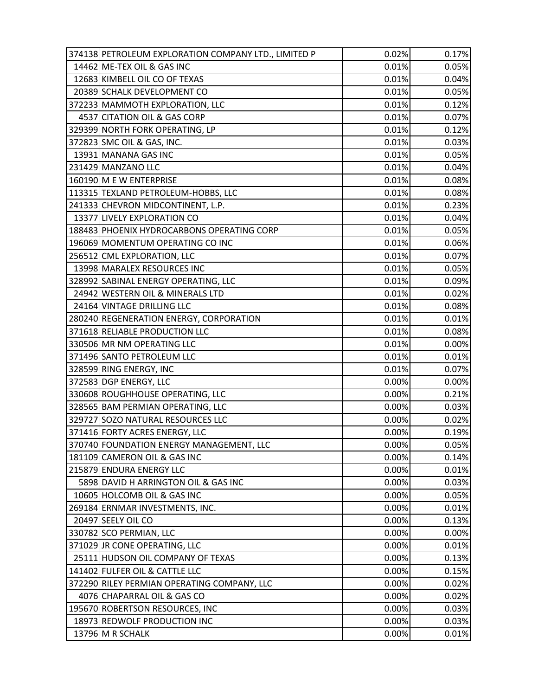| 374138 PETROLEUM EXPLORATION COMPANY LTD., LIMITED P | 0.02% | 0.17% |
|------------------------------------------------------|-------|-------|
| 14462 ME-TEX OIL & GAS INC                           | 0.01% | 0.05% |
| 12683 KIMBELL OIL CO OF TEXAS                        | 0.01% | 0.04% |
| 20389 SCHALK DEVELOPMENT CO                          | 0.01% | 0.05% |
| 372233 MAMMOTH EXPLORATION, LLC                      | 0.01% | 0.12% |
| 4537 CITATION OIL & GAS CORP                         | 0.01% | 0.07% |
| 329399 NORTH FORK OPERATING, LP                      | 0.01% | 0.12% |
| 372823 SMC OIL & GAS, INC.                           | 0.01% | 0.03% |
| 13931 MANANA GAS INC                                 | 0.01% | 0.05% |
| 231429 MANZANO LLC                                   | 0.01% | 0.04% |
| 160190 M E W ENTERPRISE                              | 0.01% | 0.08% |
| 113315 TEXLAND PETROLEUM-HOBBS, LLC                  | 0.01% | 0.08% |
| 241333 CHEVRON MIDCONTINENT, L.P.                    | 0.01% | 0.23% |
| 13377 LIVELY EXPLORATION CO                          | 0.01% | 0.04% |
| 188483 PHOENIX HYDROCARBONS OPERATING CORP           | 0.01% | 0.05% |
| 196069 MOMENTUM OPERATING CO INC                     | 0.01% | 0.06% |
| 256512 CML EXPLORATION, LLC                          | 0.01% | 0.07% |
| 13998 MARALEX RESOURCES INC                          | 0.01% | 0.05% |
| 328992 SABINAL ENERGY OPERATING, LLC                 | 0.01% | 0.09% |
| 24942 WESTERN OIL & MINERALS LTD                     | 0.01% | 0.02% |
| 24164 VINTAGE DRILLING LLC                           | 0.01% | 0.08% |
| 280240 REGENERATION ENERGY, CORPORATION              | 0.01% | 0.01% |
| 371618 RELIABLE PRODUCTION LLC                       | 0.01% | 0.08% |
| 330506 MR NM OPERATING LLC                           | 0.01% | 0.00% |
| 371496 SANTO PETROLEUM LLC                           | 0.01% | 0.01% |
| 328599 RING ENERGY, INC                              | 0.01% | 0.07% |
| 372583 DGP ENERGY, LLC                               | 0.00% | 0.00% |
| 330608 ROUGHHOUSE OPERATING, LLC                     | 0.00% | 0.21% |
| 328565 BAM PERMIAN OPERATING, LLC                    | 0.00% | 0.03% |
| 329727 SOZO NATURAL RESOURCES LLC                    | 0.00% | 0.02% |
| 371416 FORTY ACRES ENERGY, LLC                       | 0.00% | 0.19% |
| 370740 FOUNDATION ENERGY MANAGEMENT, LLC             | 0.00% | 0.05% |
| 181109 CAMERON OIL & GAS INC                         | 0.00% | 0.14% |
| 215879 ENDURA ENERGY LLC                             | 0.00% | 0.01% |
| 5898 DAVID H ARRINGTON OIL & GAS INC                 | 0.00% | 0.03% |
| 10605 HOLCOMB OIL & GAS INC                          | 0.00% | 0.05% |
| 269184 ERNMAR INVESTMENTS, INC.                      | 0.00% | 0.01% |
| 20497 SEELY OIL CO                                   | 0.00% | 0.13% |
| 330782 SCO PERMIAN, LLC                              | 0.00% | 0.00% |
| 371029 JR CONE OPERATING, LLC                        | 0.00% | 0.01% |
| 25111 HUDSON OIL COMPANY OF TEXAS                    | 0.00% | 0.13% |
| 141402 FULFER OIL & CATTLE LLC                       | 0.00% | 0.15% |
| 372290 RILEY PERMIAN OPERATING COMPANY, LLC          | 0.00% | 0.02% |
| 4076 CHAPARRAL OIL & GAS CO                          | 0.00% | 0.02% |
| 195670 ROBERTSON RESOURCES, INC                      | 0.00% | 0.03% |
| 18973 REDWOLF PRODUCTION INC                         | 0.00% | 0.03% |
| 13796 M R SCHALK                                     | 0.00% | 0.01% |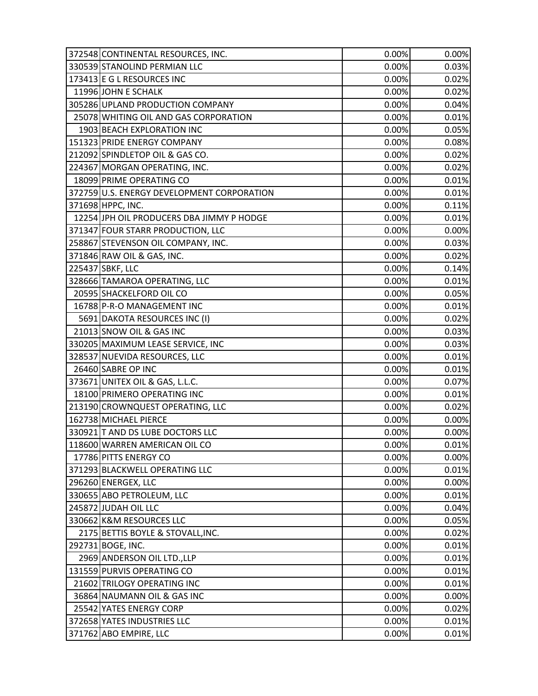| 372548 CONTINENTAL RESOURCES, INC.         | 0.00% | 0.00% |
|--------------------------------------------|-------|-------|
| 330539 STANOLIND PERMIAN LLC               | 0.00% | 0.03% |
| 173413 E G L RESOURCES INC                 | 0.00% | 0.02% |
| 11996 JOHN E SCHALK                        | 0.00% | 0.02% |
| 305286 UPLAND PRODUCTION COMPANY           | 0.00% | 0.04% |
| 25078 WHITING OIL AND GAS CORPORATION      | 0.00% | 0.01% |
| 1903 BEACH EXPLORATION INC                 | 0.00% | 0.05% |
| 151323 PRIDE ENERGY COMPANY                | 0.00% | 0.08% |
| 212092 SPINDLETOP OIL & GAS CO.            | 0.00% | 0.02% |
| 224367 MORGAN OPERATING, INC.              | 0.00% | 0.02% |
| 18099 PRIME OPERATING CO                   | 0.00% | 0.01% |
| 372759 U.S. ENERGY DEVELOPMENT CORPORATION | 0.00% | 0.01% |
| 371698 HPPC, INC.                          | 0.00% | 0.11% |
| 12254 JPH OIL PRODUCERS DBA JIMMY P HODGE  | 0.00% | 0.01% |
| 371347 FOUR STARR PRODUCTION, LLC          | 0.00% | 0.00% |
| 258867 STEVENSON OIL COMPANY, INC.         | 0.00% | 0.03% |
| 371846 RAW OIL & GAS, INC.                 | 0.00% | 0.02% |
| 225437 SBKF, LLC                           | 0.00% | 0.14% |
| 328666 TAMAROA OPERATING, LLC              | 0.00% | 0.01% |
| 20595 SHACKELFORD OIL CO                   | 0.00% | 0.05% |
| 16788 P-R-O MANAGEMENT INC                 | 0.00% | 0.01% |
| 5691 DAKOTA RESOURCES INC (I)              | 0.00% | 0.02% |
| 21013 SNOW OIL & GAS INC                   | 0.00% | 0.03% |
| 330205 MAXIMUM LEASE SERVICE, INC          | 0.00% | 0.03% |
| 328537 NUEVIDA RESOURCES, LLC              | 0.00% | 0.01% |
| 26460 SABRE OP INC                         | 0.00% | 0.01% |
| 373671 UNITEX OIL & GAS, L.L.C.            | 0.00% | 0.07% |
| 18100 PRIMERO OPERATING INC                | 0.00% | 0.01% |
| 213190 CROWNQUEST OPERATING, LLC           | 0.00% | 0.02% |
| 162738 MICHAEL PIERCE                      | 0.00% | 0.00% |
| 330921 T AND DS LUBE DOCTORS LLC           | 0.00% | 0.00% |
| 118600 WARREN AMERICAN OIL CO              | 0.00% | 0.01% |
| 17786 PITTS ENERGY CO                      | 0.00% | 0.00% |
| 371293 BLACKWELL OPERATING LLC             | 0.00% | 0.01% |
| 296260 ENERGEX, LLC                        | 0.00% | 0.00% |
| 330655 ABO PETROLEUM, LLC                  | 0.00% | 0.01% |
| 245872 JUDAH OIL LLC                       | 0.00% | 0.04% |
| 330662 K&M RESOURCES LLC                   | 0.00% | 0.05% |
| 2175 BETTIS BOYLE & STOVALL, INC.          | 0.00% | 0.02% |
| 292731 BOGE, INC.                          | 0.00% | 0.01% |
| 2969 ANDERSON OIL LTD., LLP                | 0.00% | 0.01% |
| 131559 PURVIS OPERATING CO                 | 0.00% | 0.01% |
| 21602 TRILOGY OPERATING INC                | 0.00% | 0.01% |
| 36864 NAUMANN OIL & GAS INC                | 0.00% | 0.00% |
| 25542 YATES ENERGY CORP                    | 0.00% | 0.02% |
| 372658 YATES INDUSTRIES LLC                | 0.00% | 0.01% |
| 371762 ABO EMPIRE, LLC                     | 0.00% | 0.01% |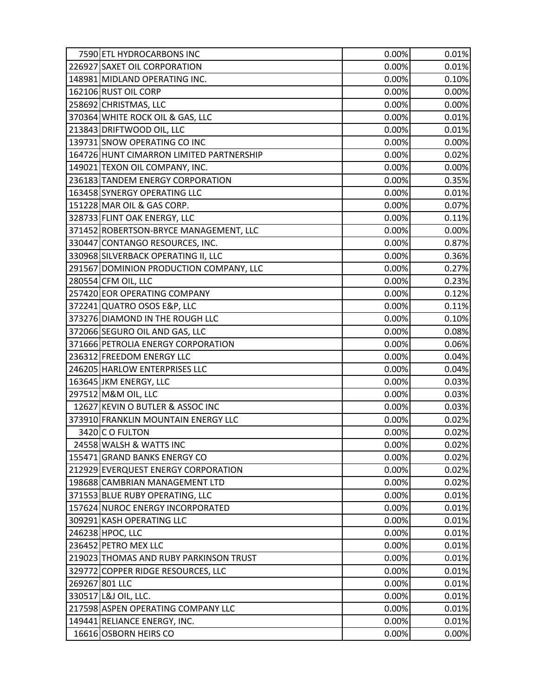| 7590 ETL HYDROCARBONS INC                | 0.00% | 0.01% |
|------------------------------------------|-------|-------|
| 226927 SAXET OIL CORPORATION             | 0.00% | 0.01% |
| 148981 MIDLAND OPERATING INC.            | 0.00% | 0.10% |
| 162106 RUST OIL CORP                     | 0.00% | 0.00% |
| 258692 CHRISTMAS, LLC                    | 0.00% | 0.00% |
| 370364 WHITE ROCK OIL & GAS, LLC         | 0.00% | 0.01% |
| 213843 DRIFTWOOD OIL, LLC                | 0.00% | 0.01% |
| 139731 SNOW OPERATING CO INC             | 0.00% | 0.00% |
| 164726 HUNT CIMARRON LIMITED PARTNERSHIP | 0.00% | 0.02% |
| 149021 TEXON OIL COMPANY, INC.           | 0.00% | 0.00% |
| 236183 TANDEM ENERGY CORPORATION         | 0.00% | 0.35% |
| 163458 SYNERGY OPERATING LLC             | 0.00% | 0.01% |
| 151228 MAR OIL & GAS CORP.               | 0.00% | 0.07% |
| 328733 FLINT OAK ENERGY, LLC             | 0.00% | 0.11% |
| 371452 ROBERTSON-BRYCE MANAGEMENT, LLC   | 0.00% | 0.00% |
| 330447 CONTANGO RESOURCES, INC.          | 0.00% | 0.87% |
| 330968 SILVERBACK OPERATING II, LLC      | 0.00% | 0.36% |
| 291567 DOMINION PRODUCTION COMPANY, LLC  | 0.00% | 0.27% |
| 280554 CFM OIL, LLC                      | 0.00% | 0.23% |
| 257420 EOR OPERATING COMPANY             | 0.00% | 0.12% |
| 372241 QUATRO OSOS E&P, LLC              | 0.00% | 0.11% |
| 373276 DIAMOND IN THE ROUGH LLC          | 0.00% | 0.10% |
| 372066 SEGURO OIL AND GAS, LLC           | 0.00% | 0.08% |
| 371666 PETROLIA ENERGY CORPORATION       | 0.00% | 0.06% |
| 236312 FREEDOM ENERGY LLC                | 0.00% | 0.04% |
| 246205 HARLOW ENTERPRISES LLC            | 0.00% | 0.04% |
| 163645 JKM ENERGY, LLC                   | 0.00% | 0.03% |
| 297512 M&M OIL, LLC                      | 0.00% | 0.03% |
| 12627 KEVIN O BUTLER & ASSOC INC         | 0.00% | 0.03% |
| 373910 FRANKLIN MOUNTAIN ENERGY LLC      | 0.00% | 0.02% |
| 3420 C O FULTON                          | 0.00% | 0.02% |
| 24558 WALSH & WATTS INC                  | 0.00% | 0.02% |
| 155471 GRAND BANKS ENERGY CO             | 0.00% | 0.02% |
| 212929 EVERQUEST ENERGY CORPORATION      | 0.00% | 0.02% |
| 198688 CAMBRIAN MANAGEMENT LTD           | 0.00% | 0.02% |
| 371553 BLUE RUBY OPERATING, LLC          | 0.00% | 0.01% |
| 157624 NUROC ENERGY INCORPORATED         | 0.00% | 0.01% |
| 309291 KASH OPERATING LLC                | 0.00% | 0.01% |
| 246238 HPOC, LLC                         | 0.00% | 0.01% |
| 236452 PETRO MEX LLC                     | 0.00% | 0.01% |
| 219023 THOMAS AND RUBY PARKINSON TRUST   | 0.00% | 0.01% |
| 329772 COPPER RIDGE RESOURCES, LLC       | 0.00% | 0.01% |
| 269267 801 LLC                           | 0.00% | 0.01% |
| 330517 L&J OIL, LLC.                     | 0.00% | 0.01% |
| 217598 ASPEN OPERATING COMPANY LLC       | 0.00% | 0.01% |
| 149441 RELIANCE ENERGY, INC.             | 0.00% | 0.01% |
| 16616 OSBORN HEIRS CO                    | 0.00% | 0.00% |